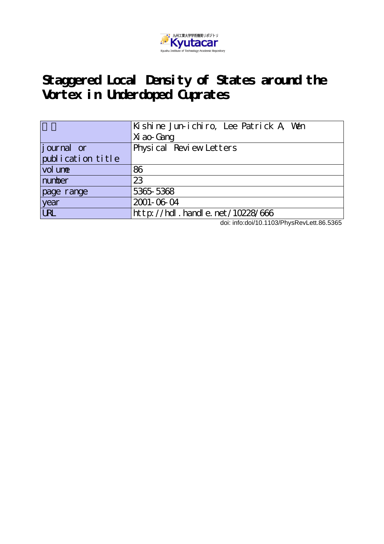

## **Staggered Local Density of States around the Vortex in Underdoped Cuprates**

|                   | Küshine Jun-ichiro, Lee Patrick A, Wen |
|-------------------|----------------------------------------|
|                   | Xi ao Gang                             |
| journal or        | Physical Review Letters                |
| publication title |                                        |
| vol une           | 86                                     |
| number            | 23                                     |
| page range        | 5365-5368                              |
| year              | 2001-06-04                             |
| <b>URL</b>        | http://hdl.handle.net/10228/666        |

doi: info:doi/10.1103/PhysRevLett.86.5365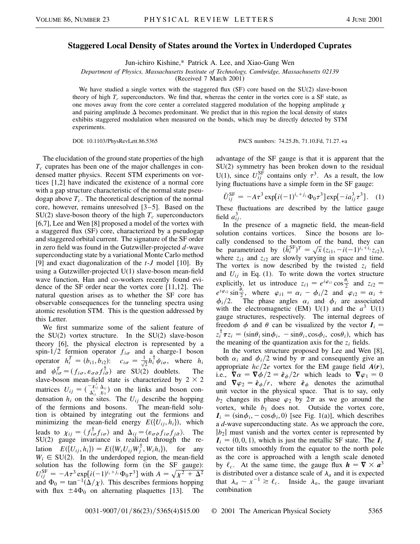## **Staggered Local Density of States around the Vortex in Underdoped Cuprates**

Jun-ichiro Kishine,\* Patrick A. Lee, and Xiao-Gang Wen

*Department of Physics, Massachusetts Institute of Technology, Cambridge, Massachusetts 02139*

(Received 7 March 2001)

We have studied a single vortex with the staggered flux (SF) core based on the SU(2) slave-boson theory of high  $T_c$  superconductors. We find that, whereas the center in the vortex core is a SF state, as one moves away from the core center a correlated staggered modulation of the hopping amplitude  $\chi$ and pairing amplitude  $\Delta$  becomes predominant. We predict that in this region the local density of states exhibits staggered modulation when measured on the bonds, which may be directly detected by STM experiments.

DOI: 10.1103/PhysRevLett.86.5365 PACS numbers: 74.25.Jb, 71.10.Fd, 71.27.+a

The elucidation of the ground state properties of the high  $T_c$  cuprates has been one of the major challenges in condensed matter physics. Recent STM experiments on vortices [1,2] have indicated the existence of a normal core with a gap structure characteristic of the normal state pseudogap above  $T_c$ . The theoretical description of the normal core, however, remains unresolved [3–5]. Based on the  $SU(2)$  slave-boson theory of the high  $T_c$  superconductors [6,7], Lee and Wen [8] proposed a model of the vortex with a staggered flux (SF) core, characterized by a pseudogap and staggered orbital current. The signature of the SF order in zero field was found in the Gutzwiller-projected *d*-wave superconducting state by a variational Monte Carlo method [9] and exact diagonalization of the *t*-*J* model [10]. By using a Gutzwiller-projected U(1) slave-boson mean-field wave function, Han and co-workers recently found evidence of the SF order near the vortex core [11,12]. The natural question arises as to whether the SF core has observable consequences for the tunneling spectra using atomic resolution STM. This is the question addressed by this Letter.

We first summarize some of the salient feature of the  $SU(2)$  vortex structure. In the  $SU(2)$  slave-boson theory [6], the physical electron is represented by a spin- $1/2$  fermion operator  $f_{i\sigma}$  and a charge-1 boson operator  $h_i^T = (b_{i1}, b_{i2})$ :  $c_{i\sigma} = \frac{1}{\sqrt{2}} h_i^{\dagger} \psi_{i\sigma}$ , where  $h_i$ and  $\psi_{i\sigma}^T = (f_{i\sigma}, \varepsilon_{\sigma\bar{\sigma}} f_{i\bar{\sigma}}^{\dagger})$  are SU(2) doublets. The slave-boson mean-field state is characterized by  $2 \times 2$ matrices  $U_{ij} = \begin{pmatrix} -\chi_{ij}^* \\ \Delta_{ij}^* \end{pmatrix}$  $\frac{\Delta_{ij}}{\chi_{ij}}$  on the links and boson condensation  $h_i$  on the sites. The  $U_{ij}$  describe the hopping of the fermions and bosons. The mean-field solution is obtained by integrating out the fermions and minimizing the mean-field energy  $E({U_{ij}, h_i})$ , which leads to  $\chi_{ij} = \langle f_{i\sigma}^{\dagger} f_{i\sigma} \rangle$  and  $\Delta_{ij} = \langle \varepsilon_{\sigma\bar{\sigma}} f_{i\sigma} f_{j\bar{\sigma}} \rangle$ . The SU(2) gauge invariance is realized through the relation  $E(\lbrace U_{ij}, h_i \rbrace) = E(\lbrace W_i U_{ij} W_j^{\dagger}, W_i h_i \rbrace)$ , for any  $W_i \in SU(2)$ . In the underdoped region, the mean-field solution has the following form (in the SF gauge):  $U_{ij}^{\text{SF}} = -A\tau^3 \exp[i(-1)^{i_x+j_y}\Phi_0\tau^3]$  with  $A = \sqrt{\chi^2 + \Delta^2}$ and  $\Phi_0 = \tan^{-1}(\Delta/\chi)$ . This describes fermions hopping with flux  $\pm 4\Phi_0$  on alternating plaquettes [13]. The advantage of the SF gauge is that it is apparent that the SU(2) symmetry has been broken down to the residual U(1), since  $U_{ij}^{\text{SF}}$  contains only  $\tau^3$ . As a result, the low lying fluctuations have a simple form in the SF gauge:

$$
\bar{U}_{ij}^{\rm SF} = -A\tau^3 \exp[i(-1)^{i_x+j_y}\Phi_0\tau^3] \exp[-ia_{ij}^3\tau^3].
$$
 (1)

These fluctuations are described by the lattice gauge field  $a_{ij}^3$ .

In the presence of a magnetic field, the mean-field solution contains vortices. Since the bosons are locally condensed to the bottom of the band, they can be parametrized by  $(\bar{h}_i^{\text{SF}})^T = \sqrt{x} (z_{i1}, -i(-1)^{i_x+i_y} z_{i2}),$ where  $z_{i1}$  and  $z_{i2}$  are slowly varying in space and time. The vortex is now described by the twisted  $z_i$  field and  $U_{ij}$  in Eq. (1). To write down the vortex structure explicitly, let us introduce  $z_{i1} = e^{i\varphi_{i1}} \cos \frac{\theta_i}{2}$  and  $z_{i2} =$  $e^{i\varphi_{i2}}\sin\frac{\theta_i}{2}$ , where  $\varphi_{i1} = \alpha_i - \phi_i/2$  and  $\varphi_{i2} = \alpha_i + \pi_i$  $\phi_i/2$ . The phase angles  $\alpha_i$  and  $\phi_i$  are associated with the electromagnetic (EM)  $U(1)$  and the  $a<sup>3</sup> U(1)$ gauge structures, respectively. The internal degrees of freedom  $\phi$  and  $\theta$  can be visualized by the vector  $I_i$  $z_i^{\dagger} \tau z_i = (\sin \theta_i \sin \phi_i, -\sin \theta_i, \cos \phi_i, \cos \theta_i)$ , which has the meaning of the quantization axis for the  $z_i$  fields.

In the vortex structure proposed by Lee and Wen [8], both  $\alpha_i$  and  $\phi_i/2$  wind by  $\pi$  and consequently give an appropriate  $hc/2e$  vortex for the EM gauge field  $A(r)$ , i.e.,  $\nabla \alpha = \nabla \phi/2 = \hat{e}_{\phi}/2r$  which leads to  $\nabla \varphi_1 = 0$ and  $\nabla \varphi_2 = \hat{e}_{\phi}/r$ , where  $\hat{e}_{\phi}$  denotes the azimuthal unit vector in the physical space. That is to say, only  $b_2$  changes its phase  $\varphi_2$  by  $2\pi$  as we go around the vortex, while  $b_1$  does not. Outside the vortex core,  $I_i = (\sin\phi_i, -\cos\phi_i, 0)$  [see Fig. 1(a)], which describes a *d*-wave superconducting state. As we approach the core,  $|b_2|$  must vanish and the vortex center is represented by  $I_i = (0, 0, 1)$ , which is just the metallic SF state. The  $I_i$ vector tilts smoothly from the equator to the north pole as the core is approached with a length scale denoted by  $\ell_c$ . At the same time, the gauge flux  $h = \nabla \times a^3$ is distributed over a distance scale of  $\lambda_a$  and it is expected that  $\lambda_a \sim x^{-1} \ge \ell_c$ . Inside  $\lambda_a$ , the gauge invariant combination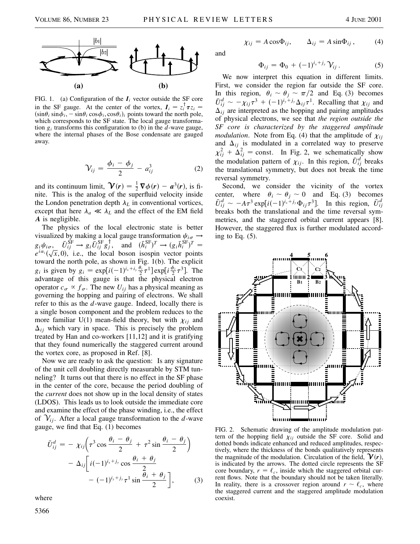

FIG. 1. (a) Configuration of the  $I_i$  vector outside the SF core in the SF gauge. At the center of the vortex,  $I_i = z_i^{\dagger} \tau z_i =$  $(\sin\theta_i \sin\phi_i, -\sin\theta_i \cos\phi_i, \cos\theta_i)_i$  points toward the north pole, which corresponds to the SF state. The local gauge transformation  $g_i$  transforms this configuration to (b) in the  $d$ -wave gauge, where the internal phases of the Bose condensate are gauged away.

$$
\gamma_{ij} = \frac{\phi_i - \phi_j}{2} - a_{ij}^3 \tag{2}
$$

and its continuum limit,  $\mathcal{V}(r) = \frac{1}{2} \nabla \phi(r) - a^3(r)$ , is finite. This is the analog of the superfluid velocity inside the London penetration depth  $\lambda_L$  in conventional vortices, except that here  $\lambda_a \ll \lambda_L$  and the effect of the EM field *A* is negligible.

The physics of the local electronic state is better visualized by making a local gauge transformation  $\psi_{i\sigma} \rightarrow$  $g_i\psi_{i\sigma}$ ,  $\bar{U}_{ij}^{\bar{S}F} \rightarrow g_i \bar{U}_{ij}^{\bar{S}F} g_j^{\dagger}$ , and  $(\bar{h}_i^{\bar{S}F})^T \rightarrow (g_i \bar{h}_i^{\bar{S}F})^T =$  $g_i \psi_{i\sigma}$ ,  $U_{ij} \rightarrow g_i U_{ij} g_j$ , and  $(h_i \rightarrow g_i n_i)$  =  $e^{i\alpha_i} (\sqrt{x}, 0)$ , i.e., the local boson isospin vector points toward the north pole, as shown in Fig. 1(b). The explicit *g<sub>i</sub>* is given by  $g_i = \exp[i(-1)^{i_x + i_y} \frac{\theta_i}{2} \tau^1] \exp[i \frac{\phi_i}{2} \tau^3]$ . The advantage of this gauge is that the physical electron operator  $c_{\sigma} \propto f_{\sigma}$ . The new  $U_{ij}$  has a physical meaning as governing the hopping and pairing of electrons. We shall refer to this as the *d*-wave gauge. Indeed, locally there is a single boson component and the problem reduces to the more familiar  $U(1)$  mean-field theory, but with  $\chi_{ij}$  and  $\Delta_{ij}$  which vary in space. This is precisely the problem treated by Han and co-workers [11,12] and it is gratifying that they found numerically the staggered current around the vortex core, as proposed in Ref. [8].

Now we are ready to ask the question: Is any signature of the unit cell doubling directly measurable by STM tunneling? It turns out that there is no effect in the SF phase in the center of the core, because the period doubling of the *current* does not show up in the local density of states (LDOS). This leads us to look outside the immediate core and examine the effect of the phase winding, i.e., the effect of  $V_{ij}$ . After a local gauge transformation to the *d*-wave gauge, we find that Eq. (1) becomes

$$
\bar{U}_{ij}^{d} = -\chi_{ij} \left( \tau^3 \cos \frac{\theta_i - \theta_j}{2} + \tau^2 \sin \frac{\theta_i - \theta_j}{2} \right)
$$

$$
- \Delta_{ij} \left[ i(-1)^{i_x + j_y} \cos \frac{\theta_i + \theta_j}{2} - (-1)^{i_y + j_y} \tau^1 \sin \frac{\theta_i + \theta_j}{2} \right], \qquad (3)
$$

where 5366

 $\chi_{ij} = A \cos \Phi_{ij}, \qquad \Delta_{ij} = A \sin \Phi_{ij},$  (4)

and

$$
\Phi_{ij} = \Phi_0 + (-1)^{i_x + j_y} \mathcal{V}_{ij} \,. \tag{5}
$$

We now interpret this equation in different limits. First, we consider the region far outside the SF core. In this region,  $\theta_i \sim \theta_j \sim \pi/2$  and Eq. (3) becomes  $\bar{U}_{ij}^d \sim -\chi_{ij}\tau^3 + (-1)^{i_y+j_y}\Delta_{ij}\tau^1$ . Recalling that  $\chi_{ij}$  and  $\Delta_{ij}$  are interpreted as the hopping and pairing amplitudes of physical electrons, we see that *the region outside the SF core is characterized by the staggered amplitude modulation*. Note from Eq. (4) that the amplitude of  $\chi_{ii}$ and  $\Delta_{ij}$  is modulated in a correlated way to preserve  $\chi_{ij}^2 + \Delta_{ij}^2$  = const. In Fig. 2, we schematically show the modulation pattern of  $\chi_{ij}$ . In this region,  $\bar{U}_{ij}^d$  breaks the translational symmetry, but does not break the time reversal symmetry.

Second, we consider the vicinity of the vortex center, where  $\theta_i \sim \theta_j \sim 0$  and Eq. (3) becomes  $\bar{U}_{ij}^d \sim -A\tau^3 \exp[i(-1)^{i_x+j_y}\Phi_{ij}\tau^3]$ . In this region,  $\bar{U}_{ij}^d$ breaks both the translational and the time reversal symmetries, and the staggered orbital current appears [8]. However, the staggered flux is further modulated according to Eq.  $(5)$ .



FIG. 2. Schematic drawing of the amplitude modulation pattern of the hopping field  $\chi_{ij}$  outside the SF core. Solid and dotted bonds indicate enhanced and reduced amplitudes, respectively, where the thickness of the bonds qualitatively represents the magnitude of the modulation. Circulation of the field,  $\mathcal{V}(r)$ , is indicated by the arrows. The dotted circle represents the SF core boundary,  $r = \ell_c$ , inside which the staggered orbital current flows. Note that the boundary should not be taken literally. In reality, there is a crossover region around  $r \sim \ell_c$ , where the staggered current and the staggered amplitude modulation coexist.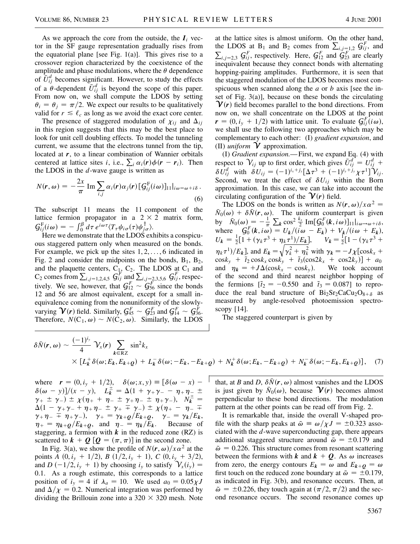As we approach the core from the outside, the  $I_i$  vector in the SF gauge representation gradually rises from the equatorial plane [see Fig.  $1(a)$ ]. This gives rise to a crossover region characterized by the coexistence of the amplitude and phase modulations, where the  $\theta$  dependence of  $\bar{U}_{ij}^d$  becomes significant. However, to study the effects of a  $\theta$ -dependent  $\bar{U}_{ij}^d$  is beyond the scope of this paper. From now on, we shall compute the LDOS by setting  $\theta_i = \theta_j = \pi/2$ . We expect our results to be qualitatively valid for  $r \leq \ell_c$  as long as we avoid the exact core center.

The presence of staggered modulation of  $\chi_{ij}$  and  $\Delta_{ij}$ in this region suggests that this may be the best place to look for unit cell doubling effects. To model the tunneling current, we assume that the electrons tunnel from the tip, located at *r*, to a linear combination of Wannier orbitals centered at lattice sites *i*, i.e.,  $\sum_i \alpha_i(\mathbf{r}) \phi(\mathbf{r} - \mathbf{r}_i)$ . Then the LDOS in the *d*-wave gauge is written as

$$
N(\mathbf{r}, \omega) = -\frac{2x}{\pi} \operatorname{Im} \sum_{i,j} \alpha_i(\mathbf{r}) \alpha_j(\mathbf{r}) \left[ G_{ij}^{\mathrm{F}}(i\omega) \right]_{11} \Big|_{i\omega = \omega + i\delta}.
$$
\n(6)

The subscript 11 means the 11 component of the lattice fermion propagator in a  $2 \times 2$  matrix form,  $G_{ij}^{\text{F}}(i\omega) = -\int_0^\beta d\tau \, e^{i\omega\tau} \langle T_\tau \psi_{i\sigma}(\tau) \psi_{j\sigma}^\dagger \rangle.$ 

Here we demonstrate that the LDOS exhibits a conspicuous staggered pattern only when measured on the bonds. For example, we pick up the sites  $1, 2, \ldots, 6$  indicated in Fig. 2 and consider the midpoints on the bonds,  $B_1$ ,  $B_2$ , and the plaquette centers,  $C_1$ ,  $C_2$ . The LDOS at  $C_1$  and  $C_2$  comes from  $\sum_{i,j=1,2,4,5} G_{ij}^F$  and  $\sum_{i,j=2,3,5,6} G_{ij}^F$ , respectively. We see, however, that  $G_{12}^F \sim G_{56}^F$  since the bonds 12 and 56 are almost equivalent, except for a small inequivalence coming from the nonuniformity of the slowlyvarying  $\mathbf{\hat{V}}(r)$  field. Similarly,  $\mathbf{\hat{G}}_{45}^F \sim \mathbf{\hat{G}}_{23}^F$  and  $\mathbf{\hat{G}}_{14}^F \sim \mathbf{\hat{G}}_{36}^F$ . Therefore,  $N(C_1, \omega) \sim N(C_2, \omega)$ . Similarly, the LDOS

at the lattice sites is almost uniform. On the other hand, the LDOS at B<sub>1</sub> and B<sub>2</sub> comes from  $\sum_{i,j=1,2} G_{ij}^F$ , and  $\sum_{i,j=2,3} G_{ij}^F$ , respectively. Here,  $G_{12}^F$  and  $G_{23}^F$  are clearly inequivalent because they connect bonds with alternating hopping-pairing amplitudes. Furthermore, it is seen that the staggered modulation of the LDOS becomes most conspicuous when scanned along the *a* or *b* axis [see the inset of Fig. 3(a)], because on these bonds the circulating  $\mathcal{V}(r)$  field becomes parallel to the bond directions. From now on, we shall concentrate on the LDOS at the point  $r = (0, i_y + 1/2)$  with lattice unit. To evaluate  $G_{ij}^F(i\omega)$ , we shall use the following two approaches which may be complementary to each other: (I) *gradient expansion*, and (II) *uniform*  $\mathbf{\hat{V}}$  approximation.

(I) *Gradient expansion.*—First, we expand Eq. (4) with respect to  $V_{ij}$  up to first order, which gives  $\bar{U}_{ij}^d = U_{ij}^d +$  $\delta U_{ij}^d$  with  $\delta U_{ij} = (-1)^{i_x + j_y} [\Delta \tau^3 + (-1)^{i_y + j_y} \chi \tau^1] \gamma_{ij}$ . Second, we treat the effect of  $\delta U_{ij}$  within the Born approximation. In this case, we can take into account the circulating configuration of the  $\gamma(r)$  field.

The LDOS on the bonds is written as  $N(r, \omega)/x\alpha^2 =$  $\bar{N}_0(\omega) + \delta \bar{N}(r, \omega)$ . The uniform counterpart is given by  $\bar{N}_0(\omega) = -\frac{1}{\pi}$  $\sum_{k} \cos^2 \frac{k_x}{2}$  Im[ $\int G_0^F(k, i\omega)$ ]<sub>11</sub> $\int i\omega \rightarrow \omega + i\delta$ , where  $G_0^F(k, i\omega) = U_k/(i\omega - E_k) + V_k/(i\omega + E_k),$  $U_k = \frac{1}{2} [1 + (\gamma_k \tau^3 + \eta_k \tau^1)/E_k]$ ,  $V_k = \frac{1}{2} [1 - (\gamma_k \tau^3 +$  $\eta_k \tau^{1}/E_k$ , and  $E_k = \sqrt{\gamma_k^2 + \eta_k^2}$  with  $\gamma_k = -J\chi[\cos k_x + \eta_k^2]$  $\cos k_y + \tilde{t}_2 \cos k_x \cos k_y + \tilde{t}_3 (\cos 2k_x + \cos 2k_y) + a_0$ and  $\eta_k = +J\Delta(\cos k_x - \cos k_y)$ . We took account of the second and third nearest neighbor hopping of the fermions  $[\tilde{t}_2 = -0.550$  and  $\tilde{t}_3 = 0.087]$  to reproduce the real band structure of  $Bi_2Sr_2CaCu_2O_{8+\delta}$  as measured by angle-resolved photoemission spectroscopy  $[14]$ .

The staggered counterpart is given by

$$
\delta \bar{N}(\mathbf{r}, \omega) \sim \frac{(-1)^{i_y}}{4} \gamma_x(\mathbf{r}) \sum_{k \in RZ} \sin^2 k_x
$$
  
 
$$
\times [L_k^+ \delta(\omega; E_k, E_{k+Q}) + L_k^- \delta(\omega; -E_k, -E_{k+Q}) + N_k^+ \delta(\omega; E_k, -E_{k+Q}) + N_k^- \delta(\omega; -E_k, E_{k+Q})], \quad (7)
$$

where  $\mathbf{r} = (0, i_y + 1/2), \quad \delta(\omega; x, y) \equiv [\delta(\omega - x) \delta(\omega - y)/(x - y), \quad L_k^{\pm} = \Delta(1 + \gamma_+ \gamma_- - \eta_+ \eta_- + z)$  $\gamma_+ \pm \gamma_ \pm \gamma(\eta_+ + \eta_- \pm \gamma_+ \eta_- \pm \eta_+ \gamma_-), \quad N_k^{\pm} =$  $\Delta(1 - \gamma_+ \gamma_- + \eta_+ \eta_- \pm \gamma_+ \mp \gamma_-) \pm \chi(\eta_+ - \eta_- \mp \eta_+ \eta_ \gamma_+ \eta_- \mp \eta_+ \gamma_-$ ,  $\gamma_+ = \gamma_{k+Q}/E_{k+Q}$ ,  $\gamma_- = \gamma_k/E_k$ ,  $\eta_+ = \eta_{k+Q}/E_{k+Q}$ , and  $\eta_- = \eta_k/E_k$ . Because of staggering, a fermion with  $k$  in the reduced zone (RZ) is scattered to  $k + Q$   $[Q = (\pi, \pi)]$  in the second zone.

In Fig. 3(a), we show the profile of  $N(r, \omega)/x\alpha^2$  at the points *A*  $(0, i_y + 1/2), B (1/2, i_y + 1), C (0, i_y + 3/2),$ and *D*  $\left(-\frac{1}{2}, i_y + 1\right)$  by choosing  $i_y$  to satisfy  $\mathcal{V}_x(i_y) =$ 0.1. As a rough estimate, this corresponds to a lattice position of  $i_y = 4$  if  $\lambda_a = 10$ . We used  $a_0 = 0.05 \chi J$ and  $\Delta/\chi = 0.2$ . Numerical integration was performed by dividing the Brillouin zone into a  $320 \times 320$  mesh. Note

that, at *B* and *D*,  $\delta \bar{N}$ ( $\bm{r}, \omega$ ) almost vanishes and the LDOS is just given by  $\bar{N}_0(\omega)$ , because  $\mathcal{V}(r)$  becomes almost perpendicular to these bond directions. The modulation pattern at the other points can be read off from Fig. 2.

It is remarkable that, inside the overall V-shaped profile with the sharp peaks at  $\tilde{\omega} \equiv \omega / \chi J = \pm 0.323$  associated with the *d*-wave superconducting gap, there appears additional staggered structure around  $\tilde{\omega} = \pm 0.179$  and  $\tilde{\omega} = 0.226$ . This structure comes from resonant scattering between the fermions with  $k$  and  $k + Q$ . As  $\omega$  increases from zero, the energy contours  $E_k = \omega$  and  $E_{k+0} = \omega$ first touch on the reduced zone boundary at  $\tilde{\omega} = \pm 0.179$ , as indicated in Fig. 3(b), and resonance occurs. Then, at  $\tilde{\omega} = \pm 0.226$ , they touch again at  $(\pi/2, \pi/2)$  and the second resonance occurs. The second resonance comes up